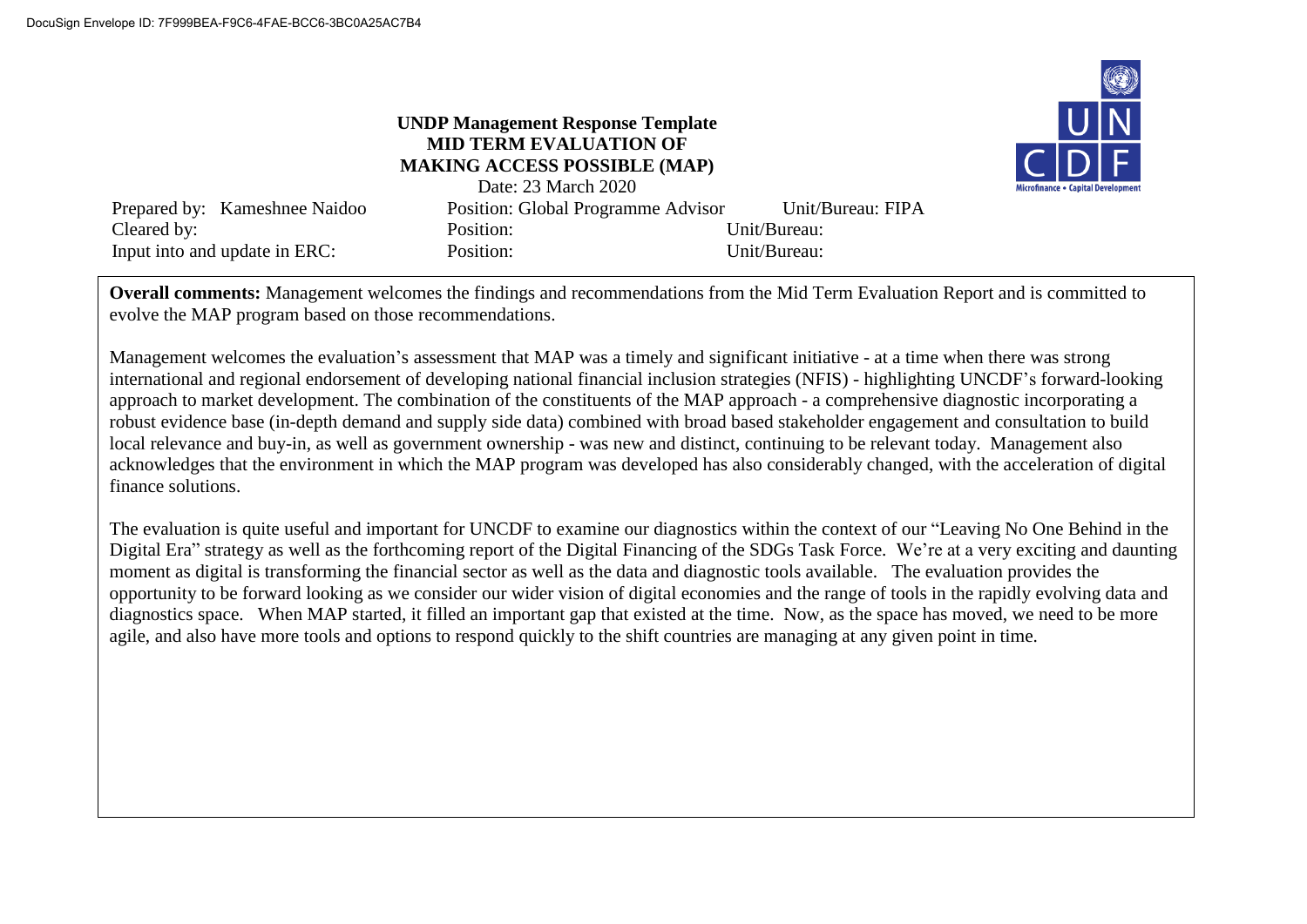## **UNDP Management Response Template MID TERM EVALUATION OF MAKING ACCESS POSSIBLE (MAP)**



|                               | Date: 23 March 2020                       |                   |
|-------------------------------|-------------------------------------------|-------------------|
| Prepared by: Kameshnee Naidoo | <b>Position: Global Programme Advisor</b> | Unit/Bureau: FIPA |
| Cleared by:                   | Position:                                 | Unit/Bureau:      |
| Input into and update in ERC: | Position:                                 | Unit/Bureau:      |

**Overall comments:** Management welcomes the findings and recommendations from the Mid Term Evaluation Report and is committed to evolve the MAP program based on those recommendations.

Management welcomes the evaluation's assessment that MAP was a timely and significant initiative - at a time when there was strong international and regional endorsement of developing national financial inclusion strategies (NFIS) - highlighting UNCDF's forward-looking approach to market development. The combination of the constituents of the MAP approach - a comprehensive diagnostic incorporating a robust evidence base (in-depth demand and supply side data) combined with broad based stakeholder engagement and consultation to build local relevance and buy-in, as well as government ownership - was new and distinct, continuing to be relevant today. Management also acknowledges that the environment in which the MAP program was developed has also considerably changed, with the acceleration of digital finance solutions.

The evaluation is quite useful and important for UNCDF to examine our diagnostics within the context of our "Leaving No One Behind in the Digital Era" strategy as well as the forthcoming report of the Digital Financing of the SDGs Task Force. We're at a very exciting and daunting moment as digital is transforming the financial sector as well as the data and diagnostic tools available. The evaluation provides the opportunity to be forward looking as we consider our wider vision of digital economies and the range of tools in the rapidly evolving data and diagnostics space. When MAP started, it filled an important gap that existed at the time. Now, as the space has moved, we need to be more agile, and also have more tools and options to respond quickly to the shift countries are managing at any given point in time.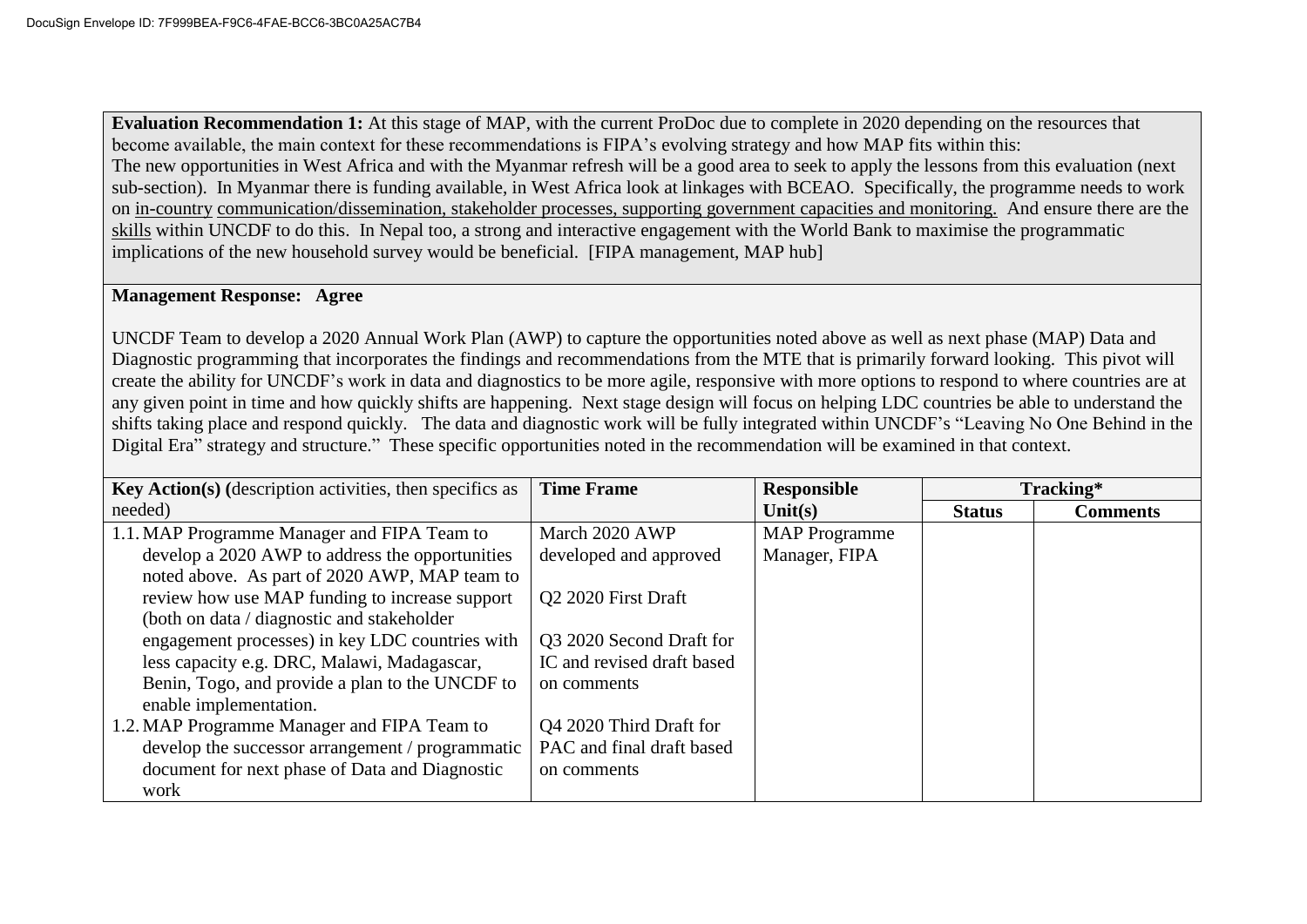**Evaluation Recommendation 1:** At this stage of MAP, with the current ProDoc due to complete in 2020 depending on the resources that become available, the main context for these recommendations is FIPA's evolving strategy and how MAP fits within this: The new opportunities in West Africa and with the Myanmar refresh will be a good area to seek to apply the lessons from this evaluation (next sub-section). In Myanmar there is funding available, in West Africa look at linkages with BCEAO. Specifically, the programme needs to work on in-country communication/dissemination, stakeholder processes, supporting government capacities and monitoring. And ensure there are the skills within UNCDF to do this. In Nepal too, a strong and interactive engagement with the World Bank to maximise the programmatic implications of the new household survey would be beneficial. [FIPA management, MAP hub]

#### **Management Response: Agree**

UNCDF Team to develop a 2020 Annual Work Plan (AWP) to capture the opportunities noted above as well as next phase (MAP) Data and Diagnostic programming that incorporates the findings and recommendations from the MTE that is primarily forward looking. This pivot will create the ability for UNCDF's work in data and diagnostics to be more agile, responsive with more options to respond to where countries are at any given point in time and how quickly shifts are happening. Next stage design will focus on helping LDC countries be able to understand the shifts taking place and respond quickly. The data and diagnostic work will be fully integrated within UNCDF's "Leaving No One Behind in the Digital Era" strategy and structure." These specific opportunities noted in the recommendation will be examined in that context.

| <b>Key Action(s)</b> (description activities, then specifics as | <b>Time Frame</b>          | Responsible          |               | Tracking*       |
|-----------------------------------------------------------------|----------------------------|----------------------|---------------|-----------------|
| needed)                                                         |                            | Unit $(s)$           | <b>Status</b> | <b>Comments</b> |
| 1.1. MAP Programme Manager and FIPA Team to                     | March 2020 AWP             | <b>MAP</b> Programme |               |                 |
| develop a 2020 AWP to address the opportunities                 | developed and approved     | Manager, FIPA        |               |                 |
| noted above. As part of 2020 AWP, MAP team to                   |                            |                      |               |                 |
| review how use MAP funding to increase support                  | Q2 2020 First Draft        |                      |               |                 |
| (both on data / diagnostic and stakeholder                      |                            |                      |               |                 |
| engagement processes) in key LDC countries with                 | Q3 2020 Second Draft for   |                      |               |                 |
| less capacity e.g. DRC, Malawi, Madagascar,                     | IC and revised draft based |                      |               |                 |
| Benin, Togo, and provide a plan to the UNCDF to                 | on comments                |                      |               |                 |
| enable implementation.                                          |                            |                      |               |                 |
| 1.2. MAP Programme Manager and FIPA Team to                     | Q4 2020 Third Draft for    |                      |               |                 |
| develop the successor arrangement / programmatic                | PAC and final draft based  |                      |               |                 |
| document for next phase of Data and Diagnostic                  | on comments                |                      |               |                 |
| work                                                            |                            |                      |               |                 |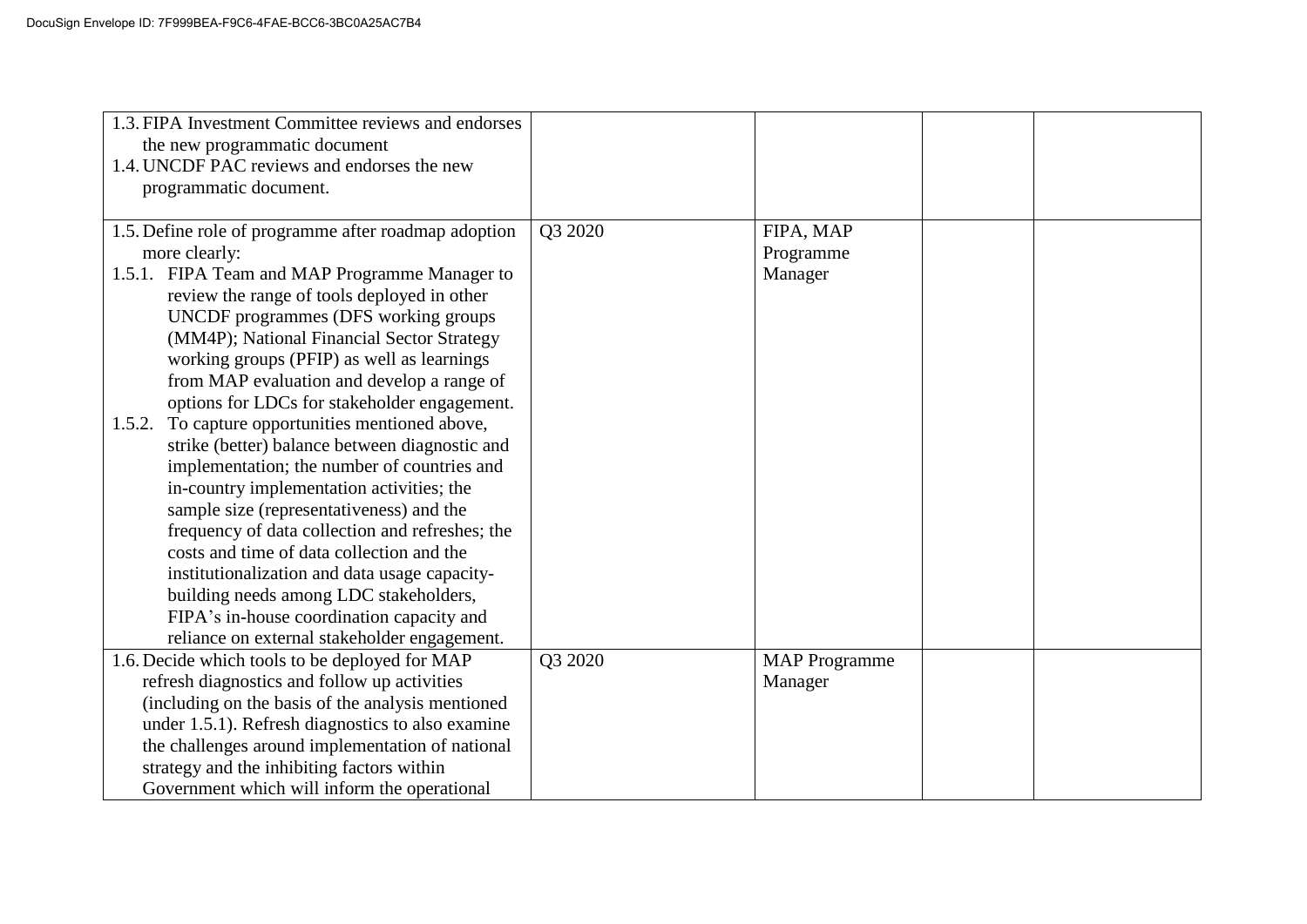| 1.3. FIPA Investment Committee reviews and endorses<br>the new programmatic document<br>1.4. UNCDF PAC reviews and endorses the new<br>programmatic document. |         |                      |  |
|---------------------------------------------------------------------------------------------------------------------------------------------------------------|---------|----------------------|--|
| 1.5. Define role of programme after roadmap adoption                                                                                                          | Q3 2020 | FIPA, MAP            |  |
| more clearly:                                                                                                                                                 |         | Programme            |  |
| 1.5.1. FIPA Team and MAP Programme Manager to                                                                                                                 |         | Manager              |  |
| review the range of tools deployed in other                                                                                                                   |         |                      |  |
| UNCDF programmes (DFS working groups                                                                                                                          |         |                      |  |
| (MM4P); National Financial Sector Strategy                                                                                                                    |         |                      |  |
| working groups (PFIP) as well as learnings                                                                                                                    |         |                      |  |
| from MAP evaluation and develop a range of                                                                                                                    |         |                      |  |
| options for LDCs for stakeholder engagement.                                                                                                                  |         |                      |  |
| To capture opportunities mentioned above,<br>1.5.2.                                                                                                           |         |                      |  |
| strike (better) balance between diagnostic and                                                                                                                |         |                      |  |
| implementation; the number of countries and                                                                                                                   |         |                      |  |
| in-country implementation activities; the                                                                                                                     |         |                      |  |
| sample size (representativeness) and the                                                                                                                      |         |                      |  |
| frequency of data collection and refreshes; the<br>costs and time of data collection and the                                                                  |         |                      |  |
|                                                                                                                                                               |         |                      |  |
| institutionalization and data usage capacity-<br>building needs among LDC stakeholders,                                                                       |         |                      |  |
| FIPA's in-house coordination capacity and                                                                                                                     |         |                      |  |
| reliance on external stakeholder engagement.                                                                                                                  |         |                      |  |
| 1.6. Decide which tools to be deployed for MAP                                                                                                                | Q3 2020 | <b>MAP</b> Programme |  |
| refresh diagnostics and follow up activities                                                                                                                  |         | Manager              |  |
| (including on the basis of the analysis mentioned                                                                                                             |         |                      |  |
| under 1.5.1). Refresh diagnostics to also examine                                                                                                             |         |                      |  |
| the challenges around implementation of national                                                                                                              |         |                      |  |
| strategy and the inhibiting factors within                                                                                                                    |         |                      |  |
| Government which will inform the operational                                                                                                                  |         |                      |  |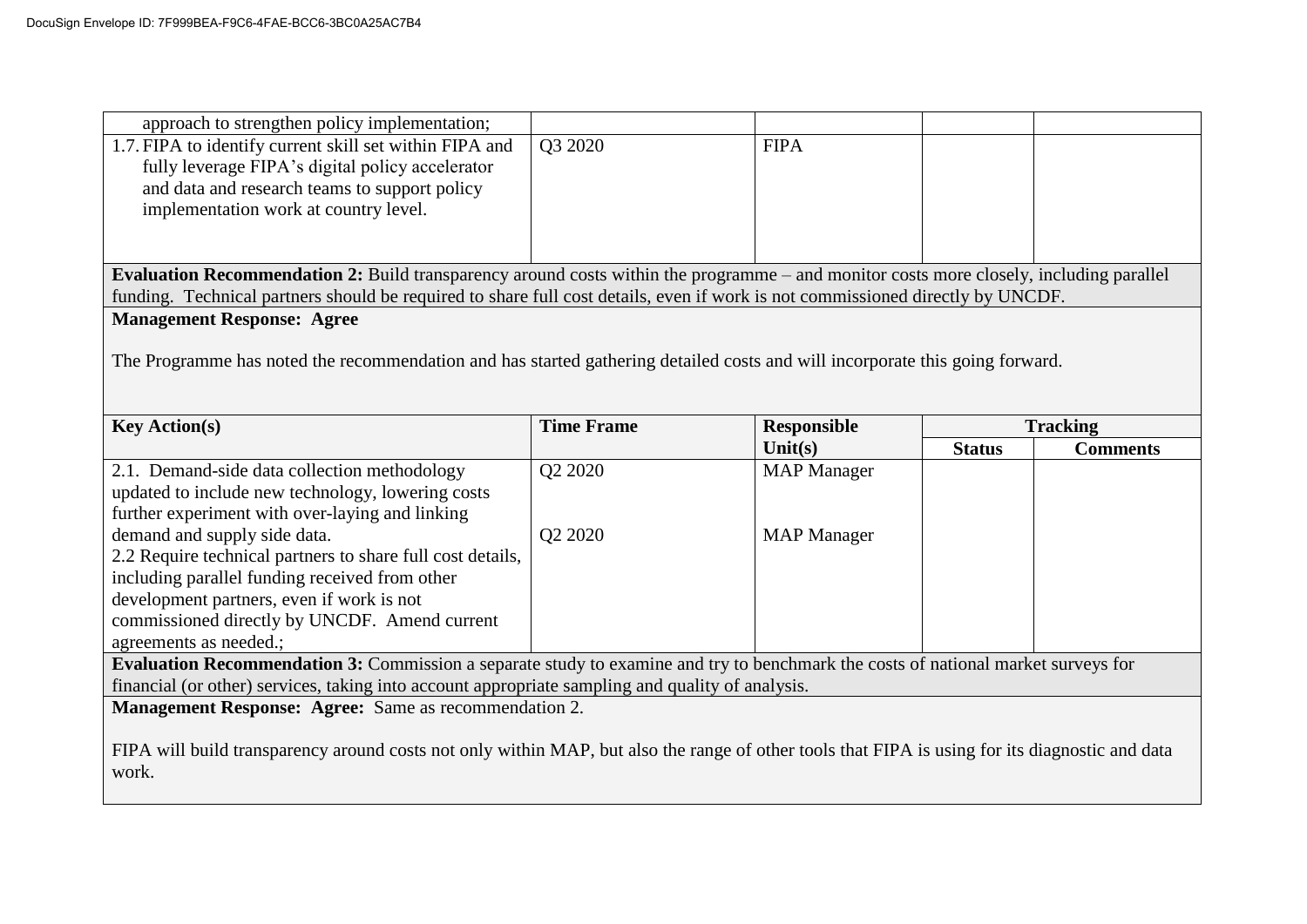| approach to strengthen policy implementation;                                                                                                   |                   |                    |               |                 |
|-------------------------------------------------------------------------------------------------------------------------------------------------|-------------------|--------------------|---------------|-----------------|
| 1.7. FIPA to identify current skill set within FIPA and                                                                                         | Q3 2020           | <b>FIPA</b>        |               |                 |
| fully leverage FIPA's digital policy accelerator                                                                                                |                   |                    |               |                 |
| and data and research teams to support policy                                                                                                   |                   |                    |               |                 |
| implementation work at country level.                                                                                                           |                   |                    |               |                 |
|                                                                                                                                                 |                   |                    |               |                 |
|                                                                                                                                                 |                   |                    |               |                 |
| Evaluation Recommendation 2: Build transparency around costs within the programme – and monitor costs more closely, including parallel          |                   |                    |               |                 |
| funding. Technical partners should be required to share full cost details, even if work is not commissioned directly by UNCDF.                  |                   |                    |               |                 |
| <b>Management Response: Agree</b>                                                                                                               |                   |                    |               |                 |
|                                                                                                                                                 |                   |                    |               |                 |
| The Programme has noted the recommendation and has started gathering detailed costs and will incorporate this going forward.                    |                   |                    |               |                 |
|                                                                                                                                                 |                   |                    |               |                 |
| <b>Key Action(s)</b>                                                                                                                            | <b>Time Frame</b> | <b>Responsible</b> |               | <b>Tracking</b> |
|                                                                                                                                                 |                   | Unit $(s)$         | <b>Status</b> | <b>Comments</b> |
| 2.1. Demand-side data collection methodology                                                                                                    | Q2 2020           | <b>MAP</b> Manager |               |                 |
| updated to include new technology, lowering costs                                                                                               |                   |                    |               |                 |
| further experiment with over-laying and linking                                                                                                 |                   |                    |               |                 |
| demand and supply side data.                                                                                                                    |                   |                    |               |                 |
|                                                                                                                                                 |                   |                    |               |                 |
|                                                                                                                                                 | Q2 2020           | <b>MAP</b> Manager |               |                 |
| 2.2 Require technical partners to share full cost details,                                                                                      |                   |                    |               |                 |
| including parallel funding received from other                                                                                                  |                   |                    |               |                 |
| development partners, even if work is not                                                                                                       |                   |                    |               |                 |
| commissioned directly by UNCDF. Amend current<br>agreements as needed.;                                                                         |                   |                    |               |                 |
| Evaluation Recommendation 3: Commission a separate study to examine and try to benchmark the costs of national market surveys for               |                   |                    |               |                 |
| financial (or other) services, taking into account appropriate sampling and quality of analysis.                                                |                   |                    |               |                 |
| <b>Management Response: Agree:</b> Same as recommendation 2.                                                                                    |                   |                    |               |                 |
|                                                                                                                                                 |                   |                    |               |                 |
| FIPA will build transparency around costs not only within MAP, but also the range of other tools that FIPA is using for its diagnostic and data |                   |                    |               |                 |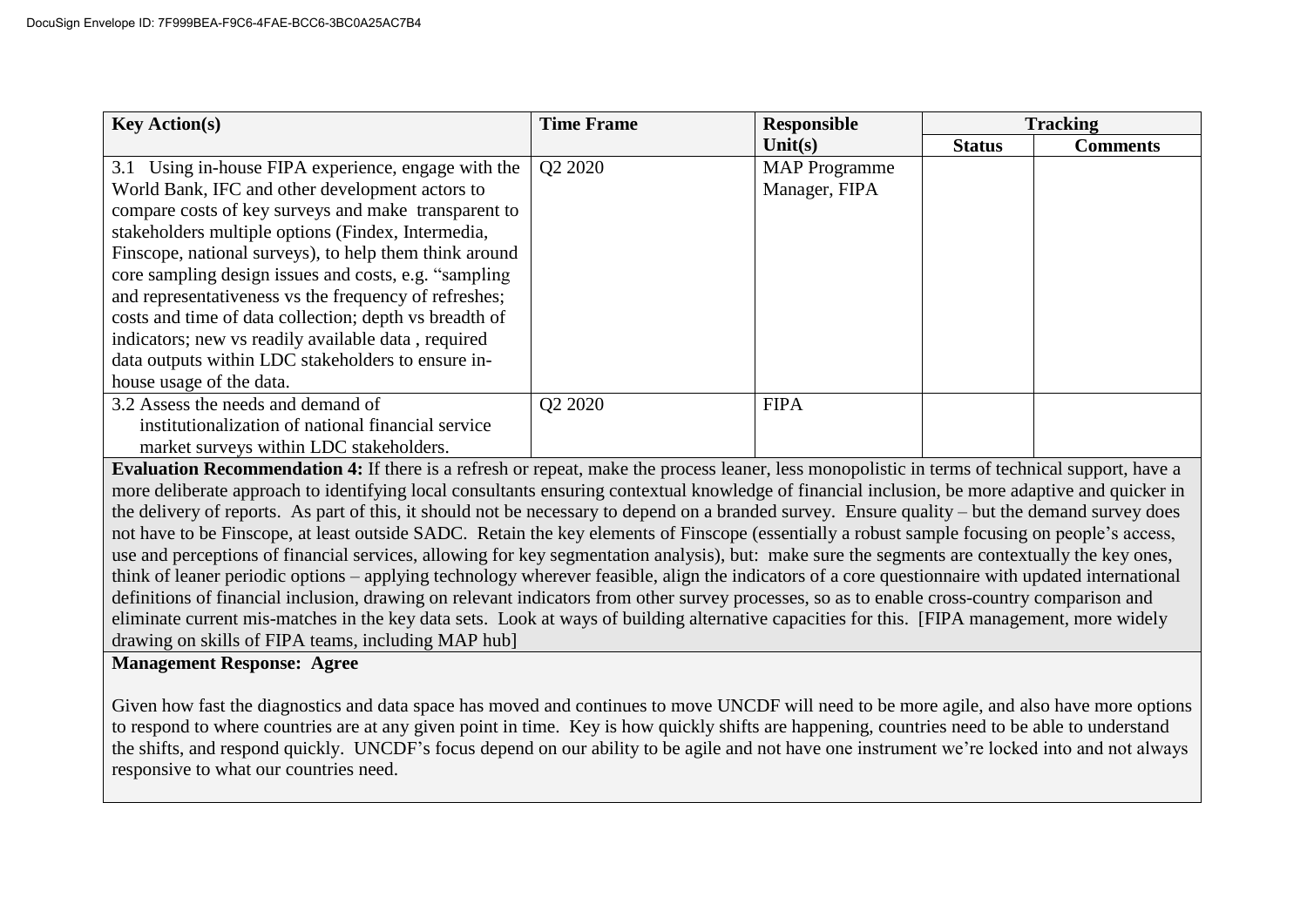| <b>Key Action(s)</b>                                   | <b>Time Frame</b> | <b>Responsible</b>   |               | <b>Tracking</b> |
|--------------------------------------------------------|-------------------|----------------------|---------------|-----------------|
|                                                        |                   | Unit $(s)$           | <b>Status</b> | <b>Comments</b> |
| 3.1 Using in-house FIPA experience, engage with the    | Q2 2020           | <b>MAP</b> Programme |               |                 |
| World Bank, IFC and other development actors to        |                   | Manager, FIPA        |               |                 |
| compare costs of key surveys and make transparent to   |                   |                      |               |                 |
| stakeholders multiple options (Findex, Intermedia,     |                   |                      |               |                 |
| Finscope, national surveys), to help them think around |                   |                      |               |                 |
| core sampling design issues and costs, e.g. "sampling  |                   |                      |               |                 |
| and representativeness vs the frequency of refreshes;  |                   |                      |               |                 |
| costs and time of data collection; depth vs breadth of |                   |                      |               |                 |
| indicators; new vs readily available data, required    |                   |                      |               |                 |
| data outputs within LDC stakeholders to ensure in-     |                   |                      |               |                 |
| house usage of the data.                               |                   |                      |               |                 |
| 3.2 Assess the needs and demand of                     | Q2 2020           | <b>FIPA</b>          |               |                 |
| institutionalization of national financial service     |                   |                      |               |                 |
| market surveys within LDC stakeholders.                |                   |                      |               |                 |

**Evaluation Recommendation 4:** If there is a refresh or repeat, make the process leaner, less monopolistic in terms of technical support, have a more deliberate approach to identifying local consultants ensuring contextual knowledge of financial inclusion, be more adaptive and quicker in the delivery of reports. As part of this, it should not be necessary to depend on a branded survey. Ensure quality – but the demand survey does not have to be Finscope, at least outside SADC. Retain the key elements of Finscope (essentially a robust sample focusing on people's access, use and perceptions of financial services, allowing for key segmentation analysis), but: make sure the segments are contextually the key ones, think of leaner periodic options – applying technology wherever feasible, align the indicators of a core questionnaire with updated international definitions of financial inclusion, drawing on relevant indicators from other survey processes, so as to enable cross-country comparison and eliminate current mis-matches in the key data sets. Look at ways of building alternative capacities for this. [FIPA management, more widely drawing on skills of FIPA teams, including MAP hub]

### **Management Response: Agree**

Given how fast the diagnostics and data space has moved and continues to move UNCDF will need to be more agile, and also have more options to respond to where countries are at any given point in time. Key is how quickly shifts are happening, countries need to be able to understand the shifts, and respond quickly. UNCDF's focus depend on our ability to be agile and not have one instrument we're locked into and not always responsive to what our countries need.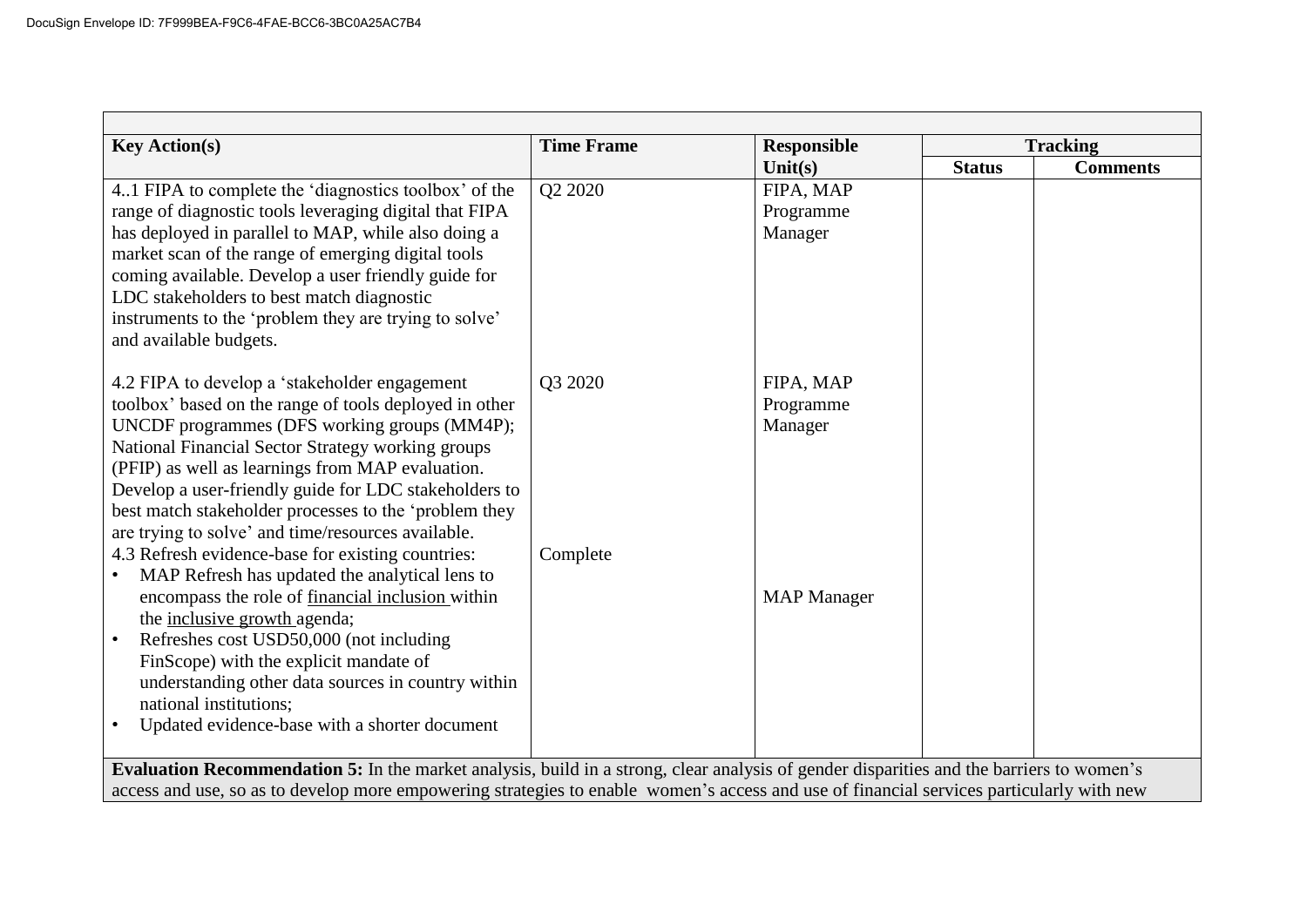| <b>Key Action(s)</b>                                                                                                                     | <b>Time Frame</b> | <b>Responsible</b> |               | <b>Tracking</b> |
|------------------------------------------------------------------------------------------------------------------------------------------|-------------------|--------------------|---------------|-----------------|
|                                                                                                                                          |                   | Unit(s)            | <b>Status</b> | <b>Comments</b> |
| 41 FIPA to complete the 'diagnostics toolbox' of the                                                                                     | Q2 2020           | FIPA, MAP          |               |                 |
| range of diagnostic tools leveraging digital that FIPA                                                                                   |                   | Programme          |               |                 |
| has deployed in parallel to MAP, while also doing a                                                                                      |                   | Manager            |               |                 |
| market scan of the range of emerging digital tools                                                                                       |                   |                    |               |                 |
| coming available. Develop a user friendly guide for                                                                                      |                   |                    |               |                 |
| LDC stakeholders to best match diagnostic                                                                                                |                   |                    |               |                 |
| instruments to the 'problem they are trying to solve'                                                                                    |                   |                    |               |                 |
| and available budgets.                                                                                                                   |                   |                    |               |                 |
|                                                                                                                                          |                   |                    |               |                 |
| 4.2 FIPA to develop a 'stakeholder engagement                                                                                            | Q3 2020           | FIPA, MAP          |               |                 |
| toolbox' based on the range of tools deployed in other                                                                                   |                   | Programme          |               |                 |
| UNCDF programmes (DFS working groups (MM4P);<br>National Financial Sector Strategy working groups                                        |                   | Manager            |               |                 |
| (PFIP) as well as learnings from MAP evaluation.                                                                                         |                   |                    |               |                 |
| Develop a user-friendly guide for LDC stakeholders to                                                                                    |                   |                    |               |                 |
| best match stakeholder processes to the 'problem they                                                                                    |                   |                    |               |                 |
| are trying to solve' and time/resources available.                                                                                       |                   |                    |               |                 |
| 4.3 Refresh evidence-base for existing countries:                                                                                        | Complete          |                    |               |                 |
| MAP Refresh has updated the analytical lens to                                                                                           |                   |                    |               |                 |
| encompass the role of financial inclusion within                                                                                         |                   | <b>MAP</b> Manager |               |                 |
| the inclusive growth agenda;                                                                                                             |                   |                    |               |                 |
| Refreshes cost USD50,000 (not including                                                                                                  |                   |                    |               |                 |
| FinScope) with the explicit mandate of                                                                                                   |                   |                    |               |                 |
| understanding other data sources in country within                                                                                       |                   |                    |               |                 |
| national institutions;                                                                                                                   |                   |                    |               |                 |
| Updated evidence-base with a shorter document<br>$\bullet$                                                                               |                   |                    |               |                 |
|                                                                                                                                          |                   |                    |               |                 |
| Evaluation Recommendation 5: In the market analysis, build in a strong, clear analysis of gender disparities and the barriers to women's |                   |                    |               |                 |
| access and use, so as to develop more empowering strategies to enable women's access and use of financial services particularly with new |                   |                    |               |                 |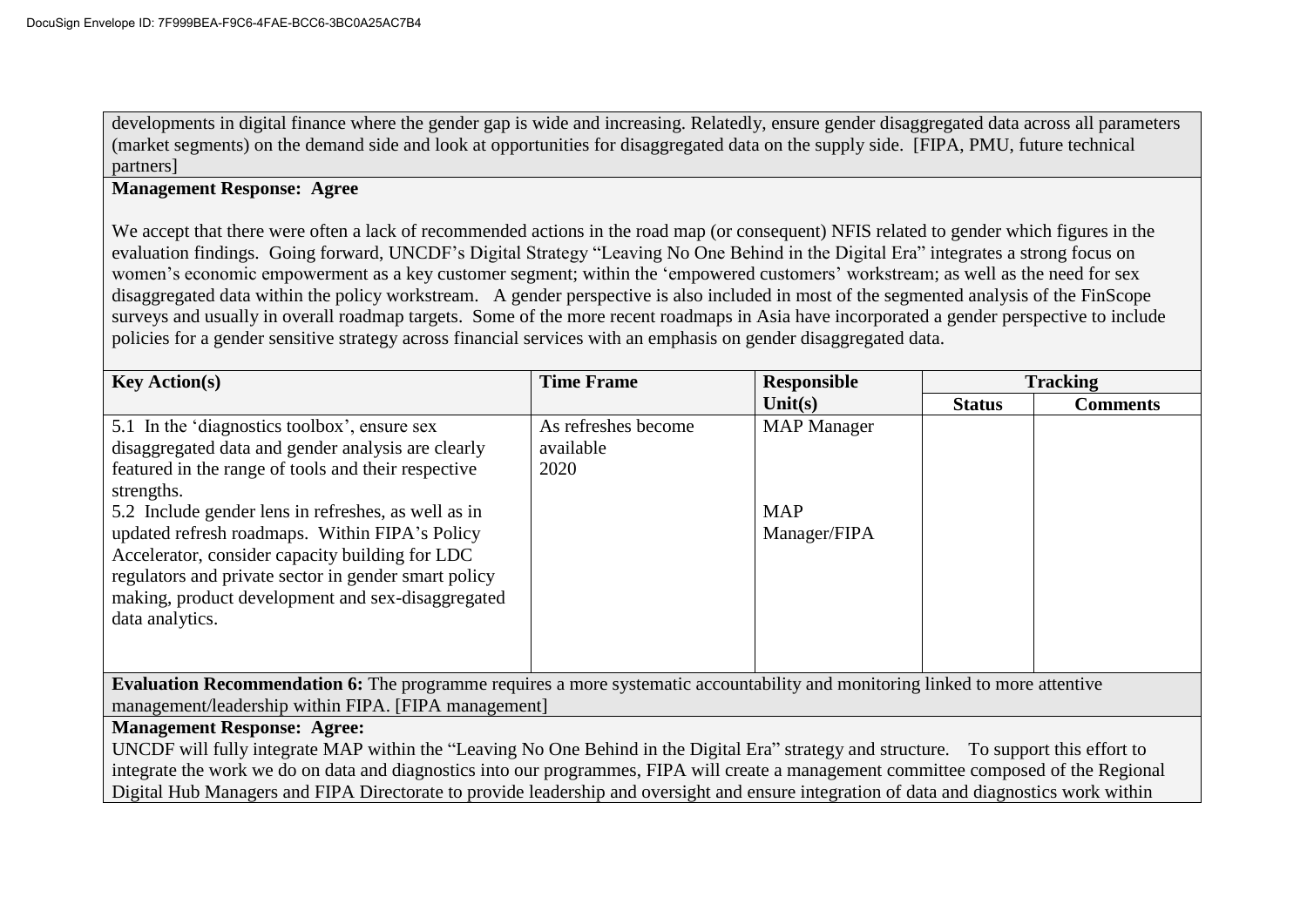developments in digital finance where the gender gap is wide and increasing. Relatedly, ensure gender disaggregated data across all parameters (market segments) on the demand side and look at opportunities for disaggregated data on the supply side. [FIPA, PMU, future technical partners]

# **Management Response: Agree**

We accept that there were often a lack of recommended actions in the road map (or consequent) NFIS related to gender which figures in the evaluation findings. Going forward, UNCDF's Digital Strategy "Leaving No One Behind in the Digital Era" integrates a strong focus on women's economic empowerment as a key customer segment; within the 'empowered customers' workstream; as well as the need for sex disaggregated data within the policy workstream. A gender perspective is also included in most of the segmented analysis of the FinScope surveys and usually in overall roadmap targets. Some of the more recent roadmaps in Asia have incorporated a gender perspective to include policies for a gender sensitive strategy across financial services with an emphasis on gender disaggregated data.

| <b>Key Action(s)</b>                                                                                                                     | <b>Time Frame</b>   | <b>Responsible</b> | <b>Tracking</b> |                 |
|------------------------------------------------------------------------------------------------------------------------------------------|---------------------|--------------------|-----------------|-----------------|
|                                                                                                                                          |                     | Unit $(s)$         | <b>Status</b>   | <b>Comments</b> |
| 5.1 In the 'diagnostics toolbox', ensure sex                                                                                             | As refreshes become | <b>MAP</b> Manager |                 |                 |
| disaggregated data and gender analysis are clearly                                                                                       | available           |                    |                 |                 |
| featured in the range of tools and their respective                                                                                      | 2020                |                    |                 |                 |
| strengths.                                                                                                                               |                     |                    |                 |                 |
| 5.2 Include gender lens in refreshes, as well as in                                                                                      |                     | <b>MAP</b>         |                 |                 |
| updated refresh roadmaps. Within FIPA's Policy                                                                                           |                     | Manager/FIPA       |                 |                 |
| Accelerator, consider capacity building for LDC                                                                                          |                     |                    |                 |                 |
| regulators and private sector in gender smart policy                                                                                     |                     |                    |                 |                 |
| making, product development and sex-disaggregated                                                                                        |                     |                    |                 |                 |
| data analytics.                                                                                                                          |                     |                    |                 |                 |
|                                                                                                                                          |                     |                    |                 |                 |
|                                                                                                                                          |                     |                    |                 |                 |
| <b>Evaluation Recommendation 6:</b> The programme requires a more systematic accountability and monitoring linked to more attentive      |                     |                    |                 |                 |
| management/leadership within FIPA. [FIPA management]                                                                                     |                     |                    |                 |                 |
| <b>Management Response: Agree:</b>                                                                                                       |                     |                    |                 |                 |
| UNCDF will fully integrate MAP within the "Leaving No One Behind in the Digital Era" strategy and structure. To support this effort to   |                     |                    |                 |                 |
| integrate the work we do on data and diagnostics into our programmes, FIPA will create a management committee composed of the Regional   |                     |                    |                 |                 |
| Digital Hub Managers and FIPA Directorate to provide leadership and oversight and ensure integration of data and diagnostics work within |                     |                    |                 |                 |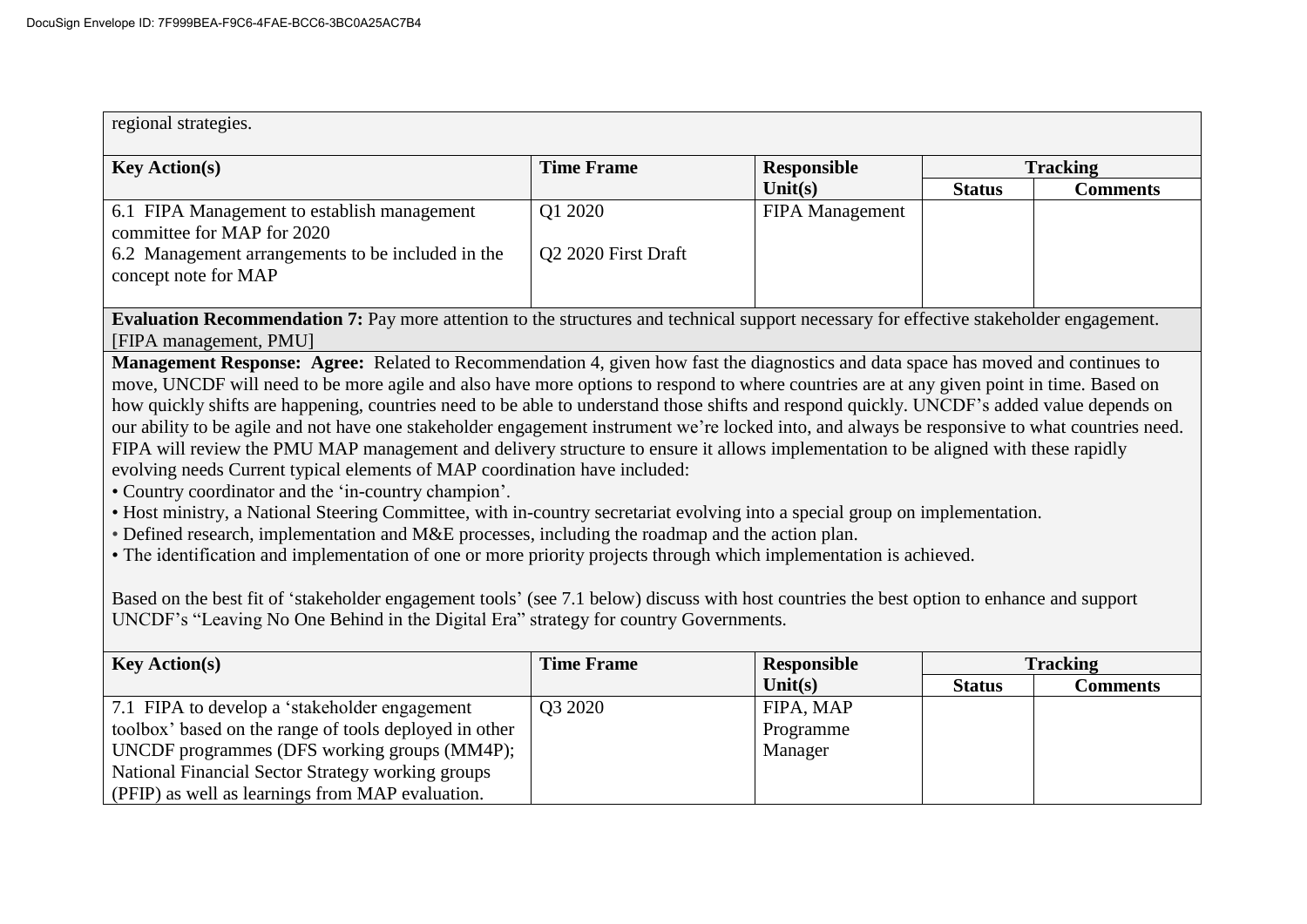| regional strategies.                                                                                                                                                                                                               |                     |                    |                 |                 |
|------------------------------------------------------------------------------------------------------------------------------------------------------------------------------------------------------------------------------------|---------------------|--------------------|-----------------|-----------------|
| <b>Key Action(s)</b>                                                                                                                                                                                                               | <b>Time Frame</b>   | <b>Responsible</b> | <b>Tracking</b> |                 |
|                                                                                                                                                                                                                                    |                     | Unit $(s)$         | <b>Status</b>   | <b>Comments</b> |
| 6.1 FIPA Management to establish management                                                                                                                                                                                        | Q1 2020             | FIPA Management    |                 |                 |
| committee for MAP for 2020                                                                                                                                                                                                         |                     |                    |                 |                 |
| 6.2 Management arrangements to be included in the                                                                                                                                                                                  | Q2 2020 First Draft |                    |                 |                 |
| concept note for MAP                                                                                                                                                                                                               |                     |                    |                 |                 |
|                                                                                                                                                                                                                                    |                     |                    |                 |                 |
| Evaluation Recommendation 7: Pay more attention to the structures and technical support necessary for effective stakeholder engagement.                                                                                            |                     |                    |                 |                 |
| [FIPA management, PMU]                                                                                                                                                                                                             |                     |                    |                 |                 |
| Management Response: Agree: Related to Recommendation 4, given how fast the diagnostics and data space has moved and continues to                                                                                                  |                     |                    |                 |                 |
| move, UNCDF will need to be more agile and also have more options to respond to where countries are at any given point in time. Based on                                                                                           |                     |                    |                 |                 |
| how quickly shifts are happening, countries need to be able to understand those shifts and respond quickly. UNCDF's added value depends on                                                                                         |                     |                    |                 |                 |
| our ability to be agile and not have one stakeholder engagement instrument we're locked into, and always be responsive to what countries need.                                                                                     |                     |                    |                 |                 |
| FIPA will review the PMU MAP management and delivery structure to ensure it allows implementation to be aligned with these rapidly                                                                                                 |                     |                    |                 |                 |
| evolving needs Current typical elements of MAP coordination have included:                                                                                                                                                         |                     |                    |                 |                 |
| • Country coordinator and the 'in-country champion'.                                                                                                                                                                               |                     |                    |                 |                 |
| • Host ministry, a National Steering Committee, with in-country secretariat evolving into a special group on implementation.                                                                                                       |                     |                    |                 |                 |
| • Defined research, implementation and M&E processes, including the roadmap and the action plan.                                                                                                                                   |                     |                    |                 |                 |
| • The identification and implementation of one or more priority projects through which implementation is achieved.                                                                                                                 |                     |                    |                 |                 |
|                                                                                                                                                                                                                                    |                     |                    |                 |                 |
| Based on the best fit of 'stakeholder engagement tools' (see 7.1 below) discuss with host countries the best option to enhance and support<br>UNCDF's "Leaving No One Behind in the Digital Era" strategy for country Governments. |                     |                    |                 |                 |
|                                                                                                                                                                                                                                    |                     |                    |                 |                 |
| <b>Key Action(s)</b>                                                                                                                                                                                                               | <b>Time Frame</b>   | <b>Responsible</b> |                 | <b>Tracking</b> |
|                                                                                                                                                                                                                                    |                     | Unit $(s)$         | <b>Status</b>   | <b>Comments</b> |
| 7.1 FIPA to develop a 'stakeholder engagement                                                                                                                                                                                      | Q3 2020             | FIPA, MAP          |                 |                 |
| toolbox' based on the range of tools deployed in other                                                                                                                                                                             |                     | Programme          |                 |                 |
| UNCDF programmes (DFS working groups (MM4P);                                                                                                                                                                                       |                     | Manager            |                 |                 |
| National Financial Sector Strategy working groups                                                                                                                                                                                  |                     |                    |                 |                 |
| (PFIP) as well as learnings from MAP evaluation.                                                                                                                                                                                   |                     |                    |                 |                 |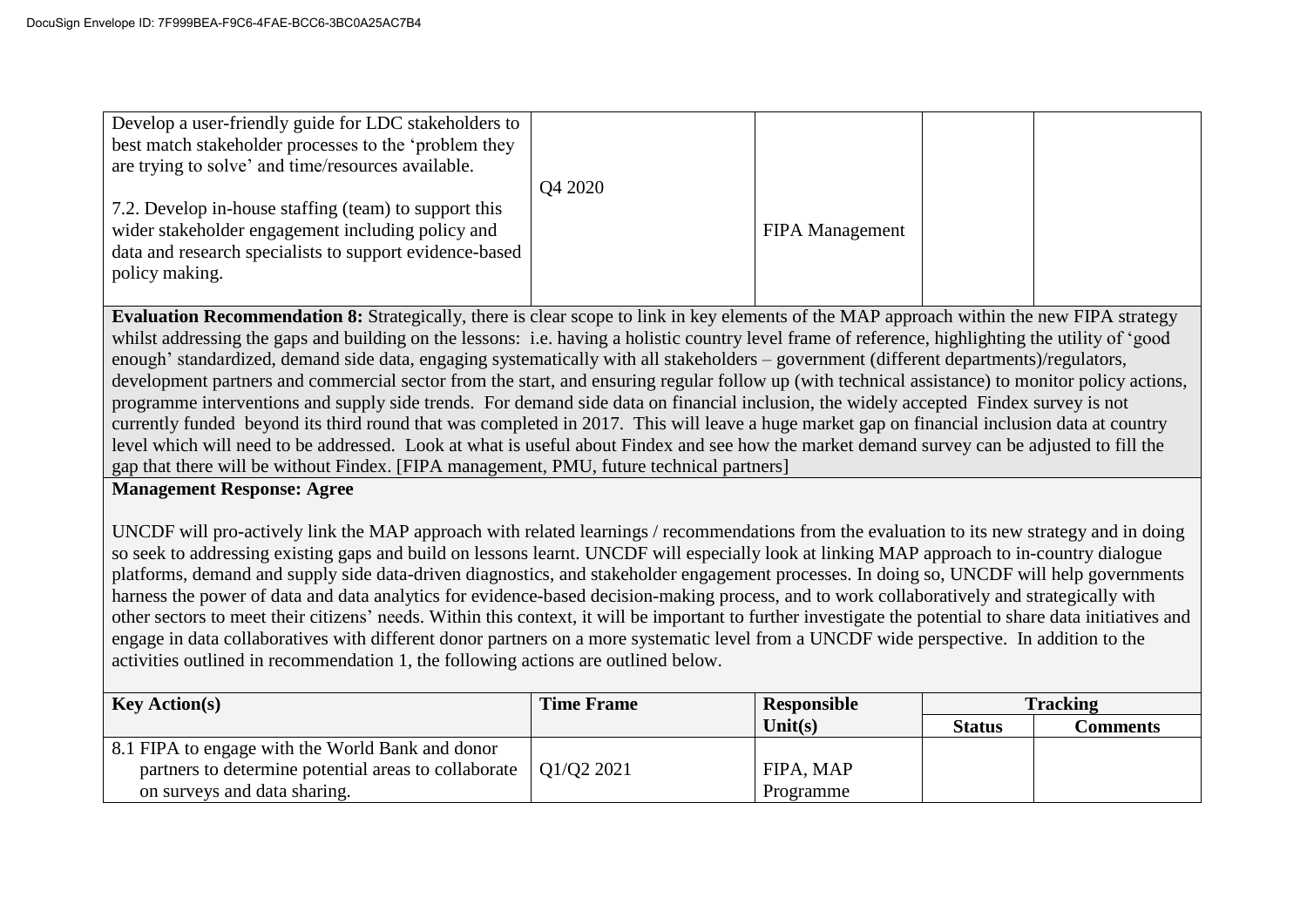| Develop a user-friendly guide for LDC stakeholders to<br>best match stakeholder processes to the 'problem they<br>are trying to solve' and time/resources available.                    |         |                        |  |
|-----------------------------------------------------------------------------------------------------------------------------------------------------------------------------------------|---------|------------------------|--|
| 7.2. Develop in-house staffing (team) to support this<br>wider stakeholder engagement including policy and<br>data and research specialists to support evidence-based<br>policy making. | Q4 2020 | <b>FIPA</b> Management |  |

**Evaluation Recommendation 8:** Strategically, there is clear scope to link in key elements of the MAP approach within the new FIPA strategy whilst addressing the gaps and building on the lessons: i.e. having a holistic country level frame of reference, highlighting the utility of 'good enough' standardized, demand side data, engaging systematically with all stakeholders – government (different departments)/regulators, development partners and commercial sector from the start, and ensuring regular follow up (with technical assistance) to monitor policy actions, programme interventions and supply side trends. For demand side data on financial inclusion, the widely accepted Findex survey is not currently funded beyond its third round that was completed in 2017. This will leave a huge market gap on financial inclusion data at country level which will need to be addressed. Look at what is useful about Findex and see how the market demand survey can be adjusted to fill the gap that there will be without Findex. [FIPA management, PMU, future technical partners]

### **Management Response: Agree**

UNCDF will pro-actively link the MAP approach with related learnings / recommendations from the evaluation to its new strategy and in doing so seek to addressing existing gaps and build on lessons learnt. UNCDF will especially look at linking MAP approach to in-country dialogue platforms, demand and supply side data-driven diagnostics, and stakeholder engagement processes. In doing so, UNCDF will help governments harness the power of data and data analytics for evidence-based decision-making process, and to work collaboratively and strategically with other sectors to meet their citizens' needs. Within this context, it will be important to further investigate the potential to share data initiatives and engage in data collaboratives with different donor partners on a more systematic level from a UNCDF wide perspective. In addition to the activities outlined in recommendation 1, the following actions are outlined below.

| <b>Key Action(s)</b>                                 | <b>Time Frame</b> | Responsible |               | <b>Tracking</b> |
|------------------------------------------------------|-------------------|-------------|---------------|-----------------|
|                                                      |                   | Unit $(s)$  | <b>Status</b> | Comments        |
| 8.1 FIPA to engage with the World Bank and donor     |                   |             |               |                 |
| partners to determine potential areas to collaborate | Q1/Q2 2021        | FIPA, MAP   |               |                 |
| on surveys and data sharing.                         |                   | Programme   |               |                 |